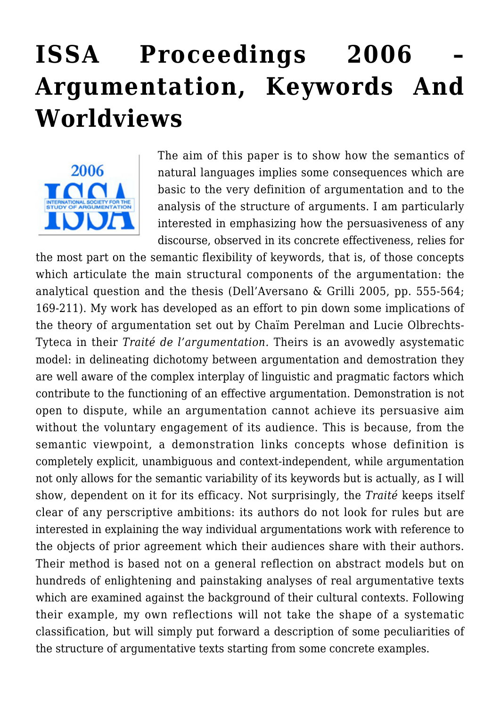## **[ISSA Proceedings 2006 –](https://rozenbergquarterly.com/issa-proceedings-2006-argumentation-keywords-and-worldviews/) [Argumentation, Keywords And](https://rozenbergquarterly.com/issa-proceedings-2006-argumentation-keywords-and-worldviews/) [Worldviews](https://rozenbergquarterly.com/issa-proceedings-2006-argumentation-keywords-and-worldviews/)**



The aim of this paper is to show how the semantics of natural languages implies some consequences which are basic to the very definition of argumentation and to the analysis of the structure of arguments. I am particularly interested in emphasizing how the persuasiveness of any discourse, observed in its concrete effectiveness, relies for

the most part on the semantic flexibility of keywords, that is, of those concepts which articulate the main structural components of the argumentation: the analytical question and the thesis (Dell'Aversano & Grilli 2005, pp. 555-564; 169-211). My work has developed as an effort to pin down some implications of the theory of argumentation set out by Chaïm Perelman and Lucie Olbrechts-Tyteca in their *Traité de l'argumentation.* Theirs is an avowedly asystematic model: in delineating dichotomy between argumentation and demostration they are well aware of the complex interplay of linguistic and pragmatic factors which contribute to the functioning of an effective argumentation. Demonstration is not open to dispute, while an argumentation cannot achieve its persuasive aim without the voluntary engagement of its audience. This is because, from the semantic viewpoint, a demonstration links concepts whose definition is completely explicit, unambiguous and context-independent, while argumentation not only allows for the semantic variability of its keywords but is actually, as I will show, dependent on it for its efficacy. Not surprisingly, the *Traité* keeps itself clear of any perscriptive ambitions: its authors do not look for rules but are interested in explaining the way individual argumentations work with reference to the objects of prior agreement which their audiences share with their authors. Their method is based not on a general reflection on abstract models but on hundreds of enlightening and painstaking analyses of real argumentative texts which are examined against the background of their cultural contexts. Following their example, my own reflections will not take the shape of a systematic classification, but will simply put forward a description of some peculiarities of the structure of argumentative texts starting from some concrete examples.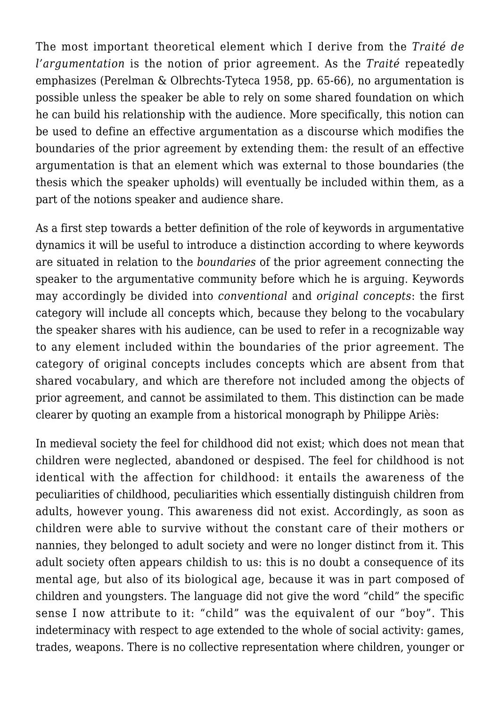The most important theoretical element which I derive from the *Traité de l'argumentation* is the notion of prior agreement. As the *Traité* repeatedly emphasizes (Perelman & Olbrechts-Tyteca 1958, pp. 65-66), no argumentation is possible unless the speaker be able to rely on some shared foundation on which he can build his relationship with the audience. More specifically, this notion can be used to define an effective argumentation as a discourse which modifies the boundaries of the prior agreement by extending them: the result of an effective argumentation is that an element which was external to those boundaries (the thesis which the speaker upholds) will eventually be included within them, as a part of the notions speaker and audience share.

As a first step towards a better definition of the role of keywords in argumentative dynamics it will be useful to introduce a distinction according to where keywords are situated in relation to the *boundaries* of the prior agreement connecting the speaker to the argumentative community before which he is arguing. Keywords may accordingly be divided into *conventional* and *original concepts*: the first category will include all concepts which, because they belong to the vocabulary the speaker shares with his audience, can be used to refer in a recognizable way to any element included within the boundaries of the prior agreement. The category of original concepts includes concepts which are absent from that shared vocabulary, and which are therefore not included among the objects of prior agreement, and cannot be assimilated to them. This distinction can be made clearer by quoting an example from a historical monograph by Philippe Ariès:

In medieval society the feel for childhood did not exist; which does not mean that children were neglected, abandoned or despised. The feel for childhood is not identical with the affection for childhood: it entails the awareness of the peculiarities of childhood, peculiarities which essentially distinguish children from adults, however young. This awareness did not exist. Accordingly, as soon as children were able to survive without the constant care of their mothers or nannies, they belonged to adult society and were no longer distinct from it. This adult society often appears childish to us: this is no doubt a consequence of its mental age, but also of its biological age, because it was in part composed of children and youngsters. The language did not give the word "child" the specific sense I now attribute to it: "child" was the equivalent of our "boy". This indeterminacy with respect to age extended to the whole of social activity: games, trades, weapons. There is no collective representation where children, younger or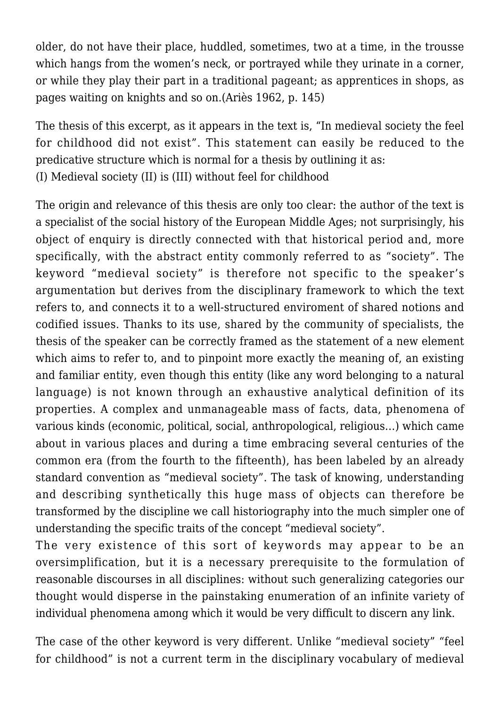older, do not have their place, huddled, sometimes, two at a time, in the trousse which hangs from the women's neck, or portrayed while they urinate in a corner, or while they play their part in a traditional pageant; as apprentices in shops, as pages waiting on knights and so on.(Ariès 1962, p. 145)

The thesis of this excerpt, as it appears in the text is, "In medieval society the feel for childhood did not exist". This statement can easily be reduced to the predicative structure which is normal for a thesis by outlining it as: (I) Medieval society (II) is (III) without feel for childhood

The origin and relevance of this thesis are only too clear: the author of the text is a specialist of the social history of the European Middle Ages; not surprisingly, his object of enquiry is directly connected with that historical period and, more specifically, with the abstract entity commonly referred to as "society". The keyword "medieval society" is therefore not specific to the speaker's argumentation but derives from the disciplinary framework to which the text refers to, and connects it to a well-structured enviroment of shared notions and codified issues. Thanks to its use, shared by the community of specialists, the thesis of the speaker can be correctly framed as the statement of a new element which aims to refer to, and to pinpoint more exactly the meaning of, an existing and familiar entity, even though this entity (like any word belonging to a natural language) is not known through an exhaustive analytical definition of its properties. A complex and unmanageable mass of facts, data, phenomena of various kinds (economic, political, social, anthropological, religious…) which came about in various places and during a time embracing several centuries of the common era (from the fourth to the fifteenth), has been labeled by an already standard convention as "medieval society". The task of knowing, understanding and describing synthetically this huge mass of objects can therefore be transformed by the discipline we call historiography into the much simpler one of understanding the specific traits of the concept "medieval society".

The very existence of this sort of keywords may appear to be an oversimplification, but it is a necessary prerequisite to the formulation of reasonable discourses in all disciplines: without such generalizing categories our thought would disperse in the painstaking enumeration of an infinite variety of individual phenomena among which it would be very difficult to discern any link.

The case of the other keyword is very different. Unlike "medieval society" "feel for childhood" is not a current term in the disciplinary vocabulary of medieval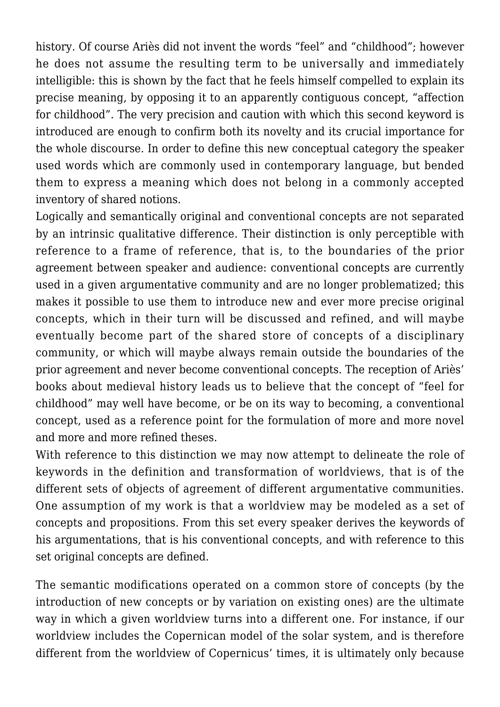history. Of course Ariès did not invent the words "feel" and "childhood"; however he does not assume the resulting term to be universally and immediately intelligible: this is shown by the fact that he feels himself compelled to explain its precise meaning, by opposing it to an apparently contiguous concept, "affection for childhood". The very precision and caution with which this second keyword is introduced are enough to confirm both its novelty and its crucial importance for the whole discourse. In order to define this new conceptual category the speaker used words which are commonly used in contemporary language, but bended them to express a meaning which does not belong in a commonly accepted inventory of shared notions.

Logically and semantically original and conventional concepts are not separated by an intrinsic qualitative difference. Their distinction is only perceptible with reference to a frame of reference, that is, to the boundaries of the prior agreement between speaker and audience: conventional concepts are currently used in a given argumentative community and are no longer problematized; this makes it possible to use them to introduce new and ever more precise original concepts, which in their turn will be discussed and refined, and will maybe eventually become part of the shared store of concepts of a disciplinary community, or which will maybe always remain outside the boundaries of the prior agreement and never become conventional concepts. The reception of Ariès' books about medieval history leads us to believe that the concept of "feel for childhood" may well have become, or be on its way to becoming, a conventional concept, used as a reference point for the formulation of more and more novel and more and more refined theses.

With reference to this distinction we may now attempt to delineate the role of keywords in the definition and transformation of worldviews, that is of the different sets of objects of agreement of different argumentative communities. One assumption of my work is that a worldview may be modeled as a set of concepts and propositions. From this set every speaker derives the keywords of his argumentations, that is his conventional concepts, and with reference to this set original concepts are defined.

The semantic modifications operated on a common store of concepts (by the introduction of new concepts or by variation on existing ones) are the ultimate way in which a given worldview turns into a different one. For instance, if our worldview includes the Copernican model of the solar system, and is therefore different from the worldview of Copernicus' times, it is ultimately only because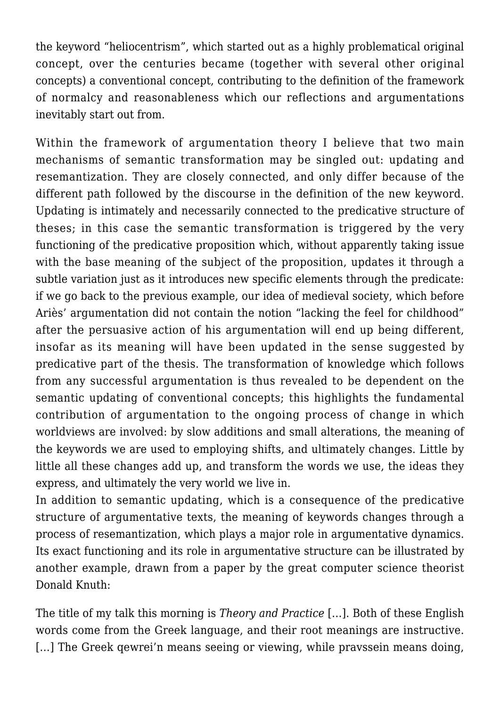the keyword "heliocentrism", which started out as a highly problematical original concept, over the centuries became (together with several other original concepts) a conventional concept, contributing to the definition of the framework of normalcy and reasonableness which our reflections and argumentations inevitably start out from.

Within the framework of argumentation theory I believe that two main mechanisms of semantic transformation may be singled out: updating and resemantization. They are closely connected, and only differ because of the different path followed by the discourse in the definition of the new keyword. Updating is intimately and necessarily connected to the predicative structure of theses; in this case the semantic transformation is triggered by the very functioning of the predicative proposition which, without apparently taking issue with the base meaning of the subject of the proposition, updates it through a subtle variation just as it introduces new specific elements through the predicate: if we go back to the previous example, our idea of medieval society, which before Ariès' argumentation did not contain the notion "lacking the feel for childhood" after the persuasive action of his argumentation will end up being different, insofar as its meaning will have been updated in the sense suggested by predicative part of the thesis. The transformation of knowledge which follows from any successful argumentation is thus revealed to be dependent on the semantic updating of conventional concepts; this highlights the fundamental contribution of argumentation to the ongoing process of change in which worldviews are involved: by slow additions and small alterations, the meaning of the keywords we are used to employing shifts, and ultimately changes. Little by little all these changes add up, and transform the words we use, the ideas they express, and ultimately the very world we live in.

In addition to semantic updating, which is a consequence of the predicative structure of argumentative texts, the meaning of keywords changes through a process of resemantization, which plays a major role in argumentative dynamics. Its exact functioning and its role in argumentative structure can be illustrated by another example, drawn from a paper by the great computer science theorist Donald Knuth:

The title of my talk this morning is *Theory and Practice* […]. Both of these English words come from the Greek language, and their root meanings are instructive. [...] The Greek gewrei'n means seeing or viewing, while pravssein means doing,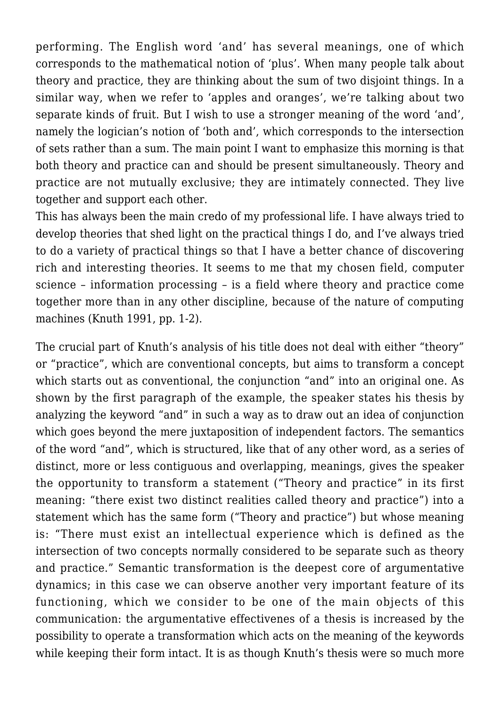performing. The English word 'and' has several meanings, one of which corresponds to the mathematical notion of 'plus'. When many people talk about theory and practice, they are thinking about the sum of two disjoint things. In a similar way, when we refer to 'apples and oranges', we're talking about two separate kinds of fruit. But I wish to use a stronger meaning of the word 'and', namely the logician's notion of 'both and', which corresponds to the intersection of sets rather than a sum. The main point I want to emphasize this morning is that both theory and practice can and should be present simultaneously. Theory and practice are not mutually exclusive; they are intimately connected. They live together and support each other.

This has always been the main credo of my professional life. I have always tried to develop theories that shed light on the practical things I do, and I've always tried to do a variety of practical things so that I have a better chance of discovering rich and interesting theories. It seems to me that my chosen field, computer science – information processing – is a field where theory and practice come together more than in any other discipline, because of the nature of computing machines (Knuth 1991, pp. 1-2).

The crucial part of Knuth's analysis of his title does not deal with either "theory" or "practice", which are conventional concepts, but aims to transform a concept which starts out as conventional, the conjunction "and" into an original one. As shown by the first paragraph of the example, the speaker states his thesis by analyzing the keyword "and" in such a way as to draw out an idea of conjunction which goes beyond the mere juxtaposition of independent factors. The semantics of the word "and", which is structured, like that of any other word, as a series of distinct, more or less contiguous and overlapping, meanings, gives the speaker the opportunity to transform a statement ("Theory and practice" in its first meaning: "there exist two distinct realities called theory and practice") into a statement which has the same form ("Theory and practice") but whose meaning is: "There must exist an intellectual experience which is defined as the intersection of two concepts normally considered to be separate such as theory and practice." Semantic transformation is the deepest core of argumentative dynamics; in this case we can observe another very important feature of its functioning, which we consider to be one of the main objects of this communication: the argumentative effectivenes of a thesis is increased by the possibility to operate a transformation which acts on the meaning of the keywords while keeping their form intact. It is as though Knuth's thesis were so much more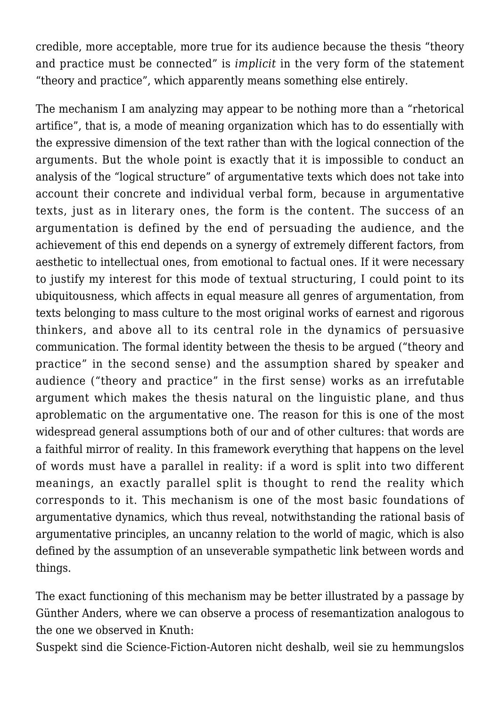credible, more acceptable, more true for its audience because the thesis "theory and practice must be connected" is *implicit* in the very form of the statement "theory and practice", which apparently means something else entirely.

The mechanism I am analyzing may appear to be nothing more than a "rhetorical artifice", that is, a mode of meaning organization which has to do essentially with the expressive dimension of the text rather than with the logical connection of the arguments. But the whole point is exactly that it is impossible to conduct an analysis of the "logical structure" of argumentative texts which does not take into account their concrete and individual verbal form, because in argumentative texts, just as in literary ones, the form is the content. The success of an argumentation is defined by the end of persuading the audience, and the achievement of this end depends on a synergy of extremely different factors, from aesthetic to intellectual ones, from emotional to factual ones. If it were necessary to justify my interest for this mode of textual structuring, I could point to its ubiquitousness, which affects in equal measure all genres of argumentation, from texts belonging to mass culture to the most original works of earnest and rigorous thinkers, and above all to its central role in the dynamics of persuasive communication. The formal identity between the thesis to be argued ("theory and practice" in the second sense) and the assumption shared by speaker and audience ("theory and practice" in the first sense) works as an irrefutable argument which makes the thesis natural on the linguistic plane, and thus aproblematic on the argumentative one. The reason for this is one of the most widespread general assumptions both of our and of other cultures: that words are a faithful mirror of reality. In this framework everything that happens on the level of words must have a parallel in reality: if a word is split into two different meanings, an exactly parallel split is thought to rend the reality which corresponds to it. This mechanism is one of the most basic foundations of argumentative dynamics, which thus reveal, notwithstanding the rational basis of argumentative principles, an uncanny relation to the world of magic, which is also defined by the assumption of an unseverable sympathetic link between words and things.

The exact functioning of this mechanism may be better illustrated by a passage by Günther Anders, where we can observe a process of resemantization analogous to the one we observed in Knuth:

Suspekt sind die Science-Fiction-Autoren nicht deshalb, weil sie zu hemmungslos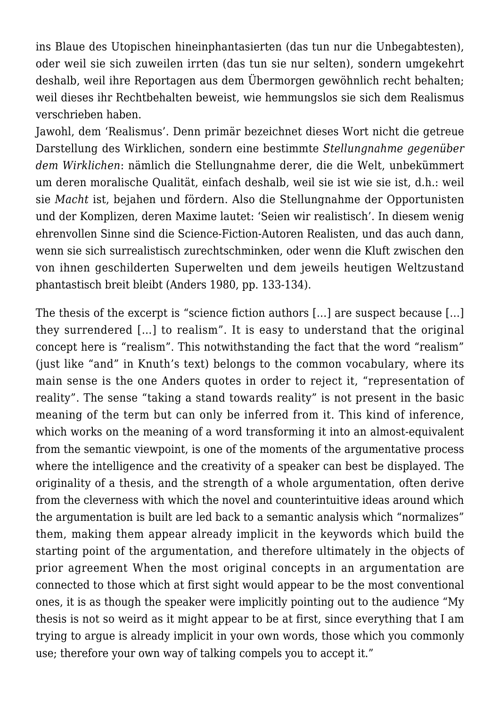ins Blaue des Utopischen hineinphantasierten (das tun nur die Unbegabtesten), oder weil sie sich zuweilen irrten (das tun sie nur selten), sondern umgekehrt deshalb, weil ihre Reportagen aus dem Übermorgen gewöhnlich recht behalten; weil dieses ihr Rechtbehalten beweist, wie hemmungslos sie sich dem Realismus verschrieben haben.

Jawohl, dem 'Realismus'. Denn primär bezeichnet dieses Wort nicht die getreue Darstellung des Wirklichen, sondern eine bestimmte *Stellungnahme gegenüber dem Wirklichen*: nämlich die Stellungnahme derer, die die Welt, unbekümmert um deren moralische Qualität, einfach deshalb, weil sie ist wie sie ist, d.h.: weil sie *Macht* ist, bejahen und fördern. Also die Stellungnahme der Opportunisten und der Komplizen, deren Maxime lautet: 'Seien wir realistisch'. In diesem wenig ehrenvollen Sinne sind die Science-Fiction-Autoren Realisten, und das auch dann, wenn sie sich surrealistisch zurechtschminken, oder wenn die Kluft zwischen den von ihnen geschilderten Superwelten und dem jeweils heutigen Weltzustand phantastisch breit bleibt (Anders 1980, pp. 133-134).

The thesis of the excerpt is "science fiction authors […] are suspect because […] they surrendered […] to realism". It is easy to understand that the original concept here is "realism". This notwithstanding the fact that the word "realism" (just like "and" in Knuth's text) belongs to the common vocabulary, where its main sense is the one Anders quotes in order to reject it, "representation of reality". The sense "taking a stand towards reality" is not present in the basic meaning of the term but can only be inferred from it. This kind of inference, which works on the meaning of a word transforming it into an almost-equivalent from the semantic viewpoint, is one of the moments of the argumentative process where the intelligence and the creativity of a speaker can best be displayed. The originality of a thesis, and the strength of a whole argumentation, often derive from the cleverness with which the novel and counterintuitive ideas around which the argumentation is built are led back to a semantic analysis which "normalizes" them, making them appear already implicit in the keywords which build the starting point of the argumentation, and therefore ultimately in the objects of prior agreement When the most original concepts in an argumentation are connected to those which at first sight would appear to be the most conventional ones, it is as though the speaker were implicitly pointing out to the audience "My thesis is not so weird as it might appear to be at first, since everything that I am trying to argue is already implicit in your own words, those which you commonly use; therefore your own way of talking compels you to accept it."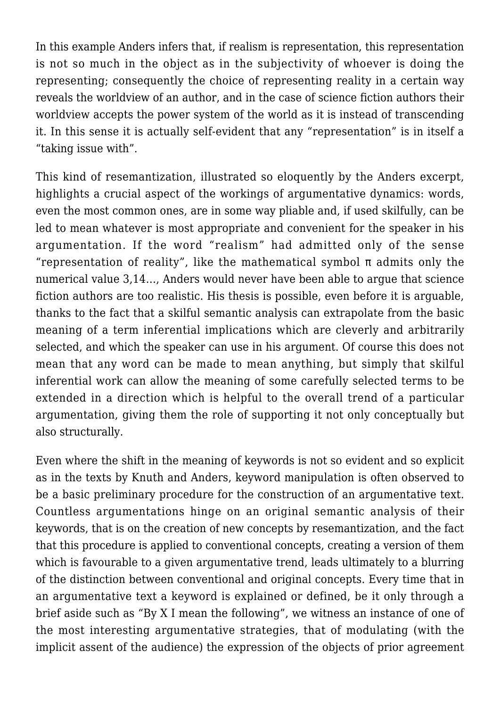In this example Anders infers that, if realism is representation, this representation is not so much in the object as in the subjectivity of whoever is doing the representing; consequently the choice of representing reality in a certain way reveals the worldview of an author, and in the case of science fiction authors their worldview accepts the power system of the world as it is instead of transcending it. In this sense it is actually self-evident that any "representation" is in itself a "taking issue with".

This kind of resemantization, illustrated so eloquently by the Anders excerpt, highlights a crucial aspect of the workings of argumentative dynamics: words, even the most common ones, are in some way pliable and, if used skilfully, can be led to mean whatever is most appropriate and convenient for the speaker in his argumentation. If the word "realism" had admitted only of the sense "representation of reality", like the mathematical symbol  $\pi$  admits only the numerical value 3,14…, Anders would never have been able to argue that science fiction authors are too realistic. His thesis is possible, even before it is arguable, thanks to the fact that a skilful semantic analysis can extrapolate from the basic meaning of a term inferential implications which are cleverly and arbitrarily selected, and which the speaker can use in his argument. Of course this does not mean that any word can be made to mean anything, but simply that skilful inferential work can allow the meaning of some carefully selected terms to be extended in a direction which is helpful to the overall trend of a particular argumentation, giving them the role of supporting it not only conceptually but also structurally.

Even where the shift in the meaning of keywords is not so evident and so explicit as in the texts by Knuth and Anders, keyword manipulation is often observed to be a basic preliminary procedure for the construction of an argumentative text. Countless argumentations hinge on an original semantic analysis of their keywords, that is on the creation of new concepts by resemantization, and the fact that this procedure is applied to conventional concepts, creating a version of them which is favourable to a given argumentative trend, leads ultimately to a blurring of the distinction between conventional and original concepts. Every time that in an argumentative text a keyword is explained or defined, be it only through a brief aside such as "By X I mean the following", we witness an instance of one of the most interesting argumentative strategies, that of modulating (with the implicit assent of the audience) the expression of the objects of prior agreement